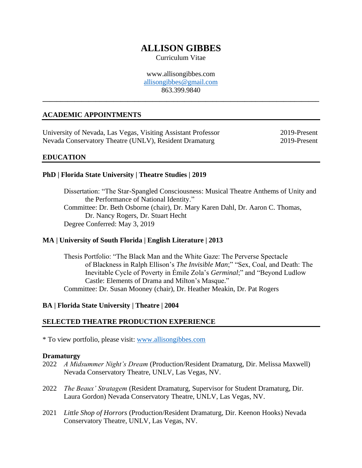# **ALLISON GIBBES**

Curriculum Vitae

www.allisongibbes.com [allisongibbes@gmail.com](mailto:allisongibbes@gmail.com) 863.399.9840

**\_\_\_\_\_\_\_\_\_\_\_\_\_\_\_\_\_\_\_\_\_\_\_\_\_\_\_\_\_\_\_\_\_\_\_\_\_\_\_\_\_\_\_\_\_\_\_\_\_\_\_\_\_\_\_\_\_\_\_\_\_\_\_\_\_\_\_\_\_\_\_\_\_\_\_\_\_\_**

# **ACADEMIC APPOINTMENTS**

University of Nevada, Las Vegas, Visiting Assistant Professor 2019-Present Nevada Conservatory Theatre (UNLV), Resident Dramaturg 2019-Present

#### **EDUCATION**

#### **PhD | Florida State University | Theatre Studies | 2019**

Dissertation: "The Star-Spangled Consciousness: Musical Theatre Anthems of Unity and the Performance of National Identity." Committee: Dr. Beth Osborne (chair), Dr. Mary Karen Dahl, Dr. Aaron C. Thomas, Dr. Nancy Rogers, Dr. Stuart Hecht Degree Conferred: May 3, 2019

#### **MA | University of South Florida | English Literature | 2013**

Thesis Portfolio: "The Black Man and the White Gaze: The Perverse Spectacle of Blackness in Ralph Ellison's *The Invisible Man*;" "Sex, Coal, and Death: The Inevitable Cycle of Poverty in Émile Zola's *Germinal*;" and "Beyond Ludlow Castle: Elements of Drama and Milton's Masque." Committee: Dr. Susan Mooney (chair), Dr. Heather Meakin, Dr. Pat Rogers

#### **BA | Florida State University | Theatre | 2004**

#### **SELECTED THEATRE PRODUCTION EXPERIENCE**

\* To view portfolio, please visit: [www.allisongibbes.com](http://www.allisongibbes.com/)

#### **Dramaturgy**

- 2022 *A Midsummer Night's Dream* (Production/Resident Dramaturg, Dir. Melissa Maxwell) Nevada Conservatory Theatre, UNLV, Las Vegas, NV.
- 2022 *The Beaux' Stratagem* (Resident Dramaturg, Supervisor for Student Dramaturg, Dir. Laura Gordon) Nevada Conservatory Theatre, UNLV, Las Vegas, NV.
- 2021 *Little Shop of Horrors* (Production/Resident Dramaturg, Dir. Keenon Hooks) Nevada Conservatory Theatre, UNLV, Las Vegas, NV.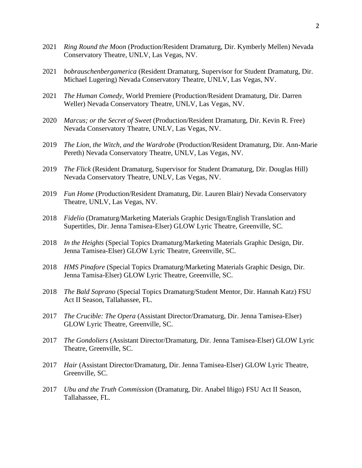- 2021 *Ring Round the Moon* (Production/Resident Dramaturg, Dir. Kymberly Mellen) Nevada Conservatory Theatre, UNLV, Las Vegas, NV.
- 2021 *bobrauschenbergamerica* (Resident Dramaturg, Supervisor for Student Dramaturg, Dir. Michael Lugering) Nevada Conservatory Theatre, UNLV, Las Vegas, NV.
- 2021 *The Human Comedy*, World Premiere (Production/Resident Dramaturg, Dir. Darren Weller) Nevada Conservatory Theatre, UNLV, Las Vegas, NV.
- 2020 *Marcus; or the Secret of Sweet* (Production/Resident Dramaturg, Dir. Kevin R. Free) Nevada Conservatory Theatre, UNLV, Las Vegas, NV.
- 2019 *The Lion, the Witch, and the Wardrobe* (Production/Resident Dramaturg, Dir. Ann-Marie Pereth) Nevada Conservatory Theatre, UNLV, Las Vegas, NV.
- 2019 *The Flick* (Resident Dramaturg, Supervisor for Student Dramaturg, Dir. Douglas Hill) Nevada Conservatory Theatre, UNLV, Las Vegas, NV.
- 2019 *Fun Home* (Production/Resident Dramaturg, Dir. Lauren Blair) Nevada Conservatory Theatre, UNLV, Las Vegas, NV.
- 2018 *Fidelio* (Dramaturg/Marketing Materials Graphic Design/English Translation and Supertitles, Dir. Jenna Tamisea-Elser) GLOW Lyric Theatre, Greenville, SC.
- 2018 *In the Heights* (Special Topics Dramaturg/Marketing Materials Graphic Design, Dir. Jenna Tamisea-Elser) GLOW Lyric Theatre, Greenville, SC.
- 2018 *HMS Pinafore* (Special Topics Dramaturg/Marketing Materials Graphic Design, Dir. Jenna Tamisa-Elser) GLOW Lyric Theatre, Greenville, SC.
- 2018 *The Bald Soprano* (Special Topics Dramaturg/Student Mentor, Dir. Hannah Katz) FSU Act II Season, Tallahassee, FL.
- 2017 *The Crucible: The Opera* (Assistant Director/Dramaturg, Dir. Jenna Tamisea-Elser) GLOW Lyric Theatre, Greenville, SC.
- 2017 *The Gondoliers* (Assistant Director/Dramaturg, Dir. Jenna Tamisea-Elser) GLOW Lyric Theatre, Greenville, SC.
- 2017 *Hair* (Assistant Director/Dramaturg, Dir. Jenna Tamisea-Elser) GLOW Lyric Theatre, Greenville, SC.
- 2017 *Ubu and the Truth Commission* (Dramaturg, Dir. Anabel Iñigo) FSU Act II Season, Tallahassee, FL.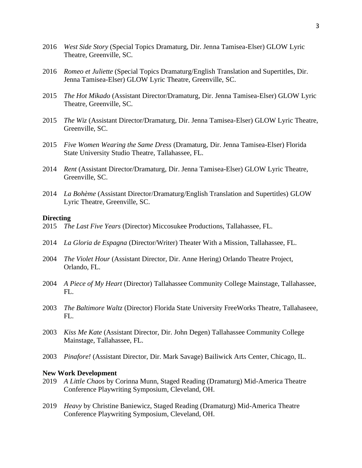- 2016 *West Side Story* (Special Topics Dramaturg, Dir. Jenna Tamisea-Elser) GLOW Lyric Theatre, Greenville, SC.
- 2016 *Romeo et Juliette* (Special Topics Dramaturg/English Translation and Supertitles, Dir. Jenna Tamisea-Elser) GLOW Lyric Theatre, Greenville, SC.
- 2015 *The Hot Mikado* (Assistant Director/Dramaturg, Dir. Jenna Tamisea-Elser) GLOW Lyric Theatre, Greenville, SC.
- 2015 *The Wiz* (Assistant Director/Dramaturg, Dir. Jenna Tamisea-Elser) GLOW Lyric Theatre, Greenville, SC.
- 2015 *Five Women Wearing the Same Dress* (Dramaturg, Dir. Jenna Tamisea-Elser) Florida State University Studio Theatre, Tallahassee, FL.
- 2014 *Rent* (Assistant Director/Dramaturg, Dir. Jenna Tamisea-Elser) GLOW Lyric Theatre, Greenville, SC.
- 2014 *La Bohème* (Assistant Director/Dramaturg/English Translation and Supertitles) GLOW Lyric Theatre, Greenville, SC.

#### **Directing**

- 2015 *The Last Five Years* (Director) Miccosukee Productions, Tallahassee, FL.
- 2014 *La Gloria de Espagna* (Director/Writer) Theater With a Mission, Tallahassee, FL.
- 2004 *The Violet Hour* (Assistant Director, Dir. Anne Hering) Orlando Theatre Project, Orlando, FL.
- 2004 *A Piece of My Heart* (Director) Tallahassee Community College Mainstage, Tallahassee,  $FL.$
- 2003 *The Baltimore Waltz* (Director) Florida State University FreeWorks Theatre, Tallahaseee, FL.
- 2003 *Kiss Me Kate* (Assistant Director, Dir. John Degen) Tallahassee Community College Mainstage, Tallahassee, FL.
- 2003 *Pinafore!* (Assistant Director, Dir. Mark Savage) Bailiwick Arts Center, Chicago, IL.

#### **New Work Development**

- 2019 *A Little Chaos* by Corinna Munn, Staged Reading (Dramaturg) Mid-America Theatre Conference Playwriting Symposium, Cleveland, OH.
- 2019 *Heavy* by Christine Baniewicz, Staged Reading (Dramaturg) Mid-America Theatre Conference Playwriting Symposium, Cleveland, OH.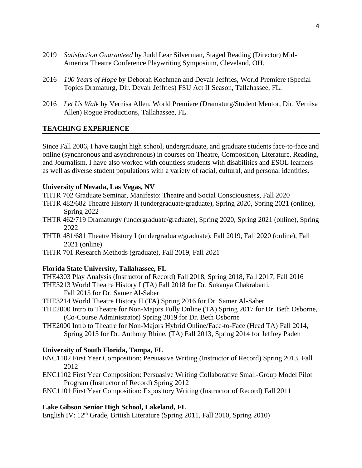- 2019 *Satisfaction Guaranteed* by Judd Lear Silverman, Staged Reading (Director) Mid-America Theatre Conference Playwriting Symposium, Cleveland, OH.
- 2016 *100 Years of Hope* by Deborah Kochman and Devair Jeffries, World Premiere (Special Topics Dramaturg, Dir. Devair Jeffries) FSU Act II Season, Tallahassee, FL.
- 2016 *Let Us Walk* by Vernisa Allen, World Premiere (Dramaturg/Student Mentor, Dir. Vernisa Allen) Rogue Productions, Tallahassee, FL.

# **TEACHING EXPERIENCE**

Since Fall 2006, I have taught high school, undergraduate, and graduate students face-to-face and online (synchronous and asynchronous) in courses on Theatre, Composition, Literature, Reading, and Journalism. I have also worked with countless students with disabilities and ESOL learners as well as diverse student populations with a variety of racial, cultural, and personal identities.

#### **University of Nevada, Las Vegas, NV**

- THTR 702 Graduate Seminar, Manifesto: Theatre and Social Consciousness, Fall 2020
- THTR 482/682 Theatre History II (undergraduate/graduate), Spring 2020, Spring 2021 (online), Spring 2022
- THTR 462/719 Dramaturgy (undergraduate/graduate), Spring 2020, Spring 2021 (online), Spring 2022
- THTR 481/681 Theatre History I (undergraduate/graduate), Fall 2019, Fall 2020 (online), Fall 2021 (online)
- THTR 701 Research Methods (graduate), Fall 2019, Fall 2021

#### **Florida State University, Tallahassee, FL**

THE4303 Play Analysis (Instructor of Record) Fall 2018, Spring 2018, Fall 2017, Fall 2016

- THE3213 World Theatre History I (TA) Fall 2018 for Dr. Sukanya Chakrabarti,
	- Fall 2015 for Dr. Samer Al-Saber
- THE3214 World Theatre History II (TA) Spring 2016 for Dr. Samer Al-Saber
- THE2000 Intro to Theatre for Non-Majors Fully Online (TA) Spring 2017 for Dr. Beth Osborne, (Co-Course Administrator) Spring 2019 for Dr. Beth Osborne
- THE2000 Intro to Theatre for Non-Majors Hybrid Online/Face-to-Face (Head TA) Fall 2014, Spring 2015 for Dr. Anthony Rhine, (TA) Fall 2013, Spring 2014 for Jeffrey Paden

#### **University of South Florida, Tampa, FL**

- ENC1102 First Year Composition: Persuasive Writing (Instructor of Record) Spring 2013, Fall 2012
- ENC1102 First Year Composition: Persuasive Writing Collaborative Small-Group Model Pilot Program (Instructor of Record) Spring 2012
- ENC1101 First Year Composition: Expository Writing (Instructor of Record) Fall 2011

#### **Lake Gibson Senior High School, Lakeland, FL**

English IV: 12th Grade, British Literature (Spring 2011, Fall 2010, Spring 2010)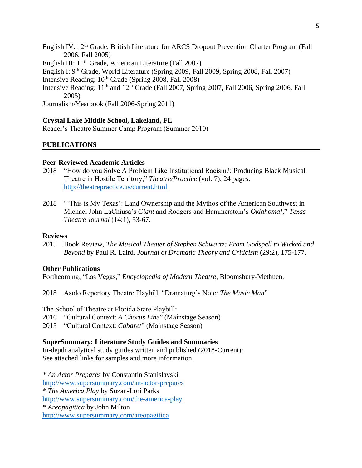- English IV: 12th Grade, British Literature for ARCS Dropout Prevention Charter Program (Fall 2006, Fall 2005)
- English III: 11th Grade, American Literature (Fall 2007)
- English I: 9th Grade, World Literature (Spring 2009, Fall 2009, Spring 2008, Fall 2007)
- Intensive Reading:  $10^{th}$  Grade (Spring 2008, Fall 2008)
- Intensive Reading: 11<sup>th</sup> and 12<sup>th</sup> Grade (Fall 2007, Spring 2007, Fall 2006, Spring 2006, Fall 2005)

Journalism/Yearbook (Fall 2006-Spring 2011)

# **Crystal Lake Middle School, Lakeland, FL**

Reader's Theatre Summer Camp Program (Summer 2010)

# **PUBLICATIONS**

#### **Peer-Reviewed Academic Articles**

- 2018 "How do you Solve A Problem Like Institutional Racism?: Producing Black Musical Theatre in Hostile Territory," *Theatre/Practice* (vol. 7), 24 pages. <http://theatrepractice.us/current.html>
- 2018 "'This is My Texas': Land Ownership and the Mythos of the American Southwest in Michael John LaChiusa's *Giant* and Rodgers and Hammerstein's *Oklahoma!*," *Texas Theatre Journal* (14:1), 53-67.

#### **Reviews**

2015 Book Review, *The Musical Theater of Stephen Schwartz: From Godspell to Wicked and Beyond* by Paul R. Laird. *Journal of Dramatic Theory and Criticism* (29:2), 175-177.

#### **Other Publications**

Forthcoming, "Las Vegas," *Encyclopedia of Modern Theatre*, Bloomsbury-Methuen.

2018 Asolo Repertory Theatre Playbill, "Dramaturg's Note: *The Music Man*"

The School of Theatre at Florida State Playbill: 2016 "Cultural Context: *A Chorus Line*" (Mainstage Season) 2015 "Cultural Context: *Cabaret*" (Mainstage Season)

**SuperSummary: Literature Study Guides and Summaries**

In-depth analytical study guides written and published (2018-Current): See attached links for samples and more information.

*\* An Actor Prepares* by Constantin Stanislavski [http://www.supersummary.com/an-actor-prepares](http://www.supersummary.com/an-actor-prepares/summary/) *\* The America Play* by Suzan-Lori Parks <http://www.supersummary.com/the-america-play> *\* Areopagitica* by John Milton [http://www.supersummary.com/areopagitica](http://www.supersummary.com/areopagitica/summary/)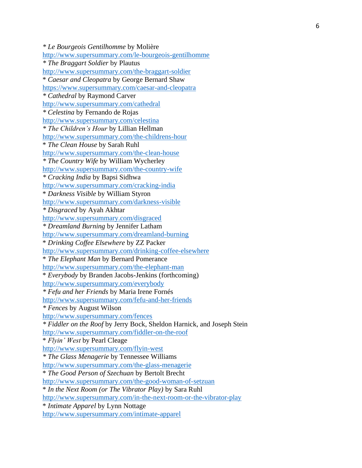*\* Le Bourgeois Gentilhomme* by Molière [http://www.supersummary.com/le](http://www.supersummary.com/le-bourgeois-gentilhomme/summary/) -bourgeois -gentilhomme *\* The Braggart Soldier* by Plautus [http://www.supersummary.com/the](http://www.supersummary.com/the-braggart-soldier/summary/)-braggart-soldier \* *Caesar and Cleopatra* by George Bernard Shaw [https://www.supersummary.com/caesar](https://www.supersummary.com/caesar-and-cleopatra/summary/) -and -cleopatra *\* Cathedral* by Raymond Carver <http://www.supersummary.com/cathedral> *\* Celestina* by Fernando de Rojas <http://www.supersummary.com/celestina> *\* The Children's Hour* by Lillian Hellman [http://www.supersummary.com/the](http://www.supersummary.com/the-childrens-hour/summary/)-childrens-hour \* *The Clean House* by Sarah Ruhl [http://www.supersummary.com/the](http://www.supersummary.com/the-clean-house)-clean-house *\* The Country Wife* by William Wycherley [http://www.supersummary.com/the](http://www.supersummary.com/the-country-wife)-country-wife *\* Cracking India* by Bapsi Sidhwa [http://www.supersummary.com/cracking](http://www.supersummary.com/cracking-india)-india \* *Darkness Visible* by William Styron [http://www.supersummary.com/darkness](http://www.supersummary.com/darkness-visible) -visible *\* Disgraced* by Ayah Akhtar <http://www.supersummary.com/disgraced> *\* Dreamland Burning* by Jennifer Latham [http://www.supersummary.com/dreamland](http://www.supersummary.com/dreamland-burning) -burning \* *Drinking Coffee Elsewhere* by ZZ Packer [http://www.supersummary.com/drinking](http://www.supersummary.com/drinking-coffee-elsewhere)-coffee-elsewhere \* *The Elephant Man* by Bernard Pomerance [http://www.supersummary.com/the](http://www.supersummary.com/the-elephant-man)-elephant-man \* *Everybody* by Branden Jacobs -Jenkins (forthcoming) <http://www.supersummary.com/everybody> *\* Fefu and her Friends* by Maria Irene Fornés [http://www.supersummary.com/fefu](http://www.supersummary.com/fefu-and-her-friends)-and-her-friends *\* Fences* by August Wilson <http://www.supersummary.com/fences> *\* Fiddler on the Roof* by Jerry Bock, Sheldon Harnick, and Joseph Stein [http://www.supersummary.com/fiddler](http://www.supersummary.com/fiddler-on-the-roof/summary/)-on-the-roof \* *Flyin' West* by Pearl Cleage [http://www.supersummary.com/flyin](http://www.supersummary.com/flyin-west)-west *\* The Glass Menagerie* by Tennessee Williams [http://www.supersummary.com/the](http://www.supersummary.com/the-glass-menagerie/summary/)-glass-menagerie \* *The Good Person of Szechuan* by Bertolt Brecht [http://www.supersummary.com/the](http://www.supersummary.com/the-good-woman-of-setzuan/summary/)-good-woman-of-setzuan \* *In the Next Room (or The Vibrator Play)* by Sara Ruhl [http://www.supersummary.com/in](http://www.supersummary.com/in-the-next-room-or-the-vibrator-play)-the-next-room-or-the-vibrator-play \* *Intimate Apparel* by Lynn Nottage [http://www.supersummary.com/intimate](http://www.supersummary.com/intimate-apparel) -apparel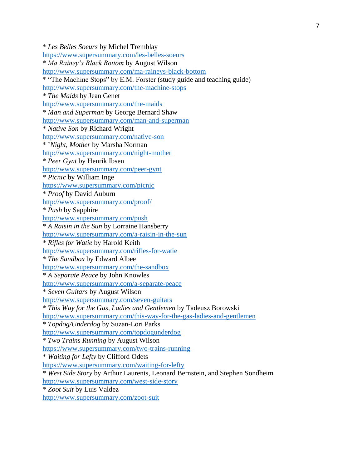\* *Les Belles Soeurs* by Michel Tremblay <https://www.supersummary.com/les-belles-soeurs> *\* Ma Rainey's Black Bottom* by August Wilson [http://www.supersummary.com/ma-raineys-black-bottom](http://www.supersummary.com/ma-raineys-black-bottom/) \* "The Machine Stops" by E.M. Forster (study guide and teaching guide) <http://www.supersummary.com/the-machine-stops> *\* The Maids* by Jean Genet <http://www.supersummary.com/the-maids> *\* Man and Superman* by George Bernard Shaw <http://www.supersummary.com/man-and-superman> \* *Native Son* by Richard Wright <http://www.supersummary.com/native-son> \* '*Night, Mother* by Marsha Norman <http://www.supersummary.com/night-mother> *\* Peer Gynt* by Henrik Ibsen <http://www.supersummary.com/peer-gynt> \* *Picnic* by William Inge <https://www.supersummary.com/picnic> \* *Proof* by David Auburn <http://www.supersummary.com/proof/> \* *Push* by Sapphire <http://www.supersummary.com/push> *\* A Raisin in the Sun* by Lorraine Hansberry <http://www.supersummary.com/a-raisin-in-the-sun> *\* Rifles for Watie* by Harold Keith <http://www.supersummary.com/rifles-for-watie> \* *The Sandbox* by Edward Albee <http://www.supersummary.com/the-sandbox> *\* A Separate Peace* by John Knowles <http://www.supersummary.com/a-separate-peace> \* *Seven Guitars* by August Wilson <http://www.supersummary.com/seven-guitars> *\* This Way for the Gas, Ladies and Gentlemen* by Tadeusz Borowski <http://www.supersummary.com/this-way-for-the-gas-ladies-and-gentlemen> *\* Topdog/Underdog* by Suzan-Lori Parks <http://www.supersummary.com/topdogunderdog> \* *Two Trains Running* by August Wilson <https://www.supersummary.com/two-trains-running> \* *Waiting for Lefty* by Clifford Odets <https://www.supersummary.com/waiting-for-lefty> *\* West Side Story* by Arthur Laurents, Leonard Bernstein, and Stephen Sondheim <http://www.supersummary.com/west-side-story> *\* Zoot Suit* by Luis Valdez [http://www.supersummary.com/zoot-suit](http://www.supersummary.com/zoot-suit/summary/)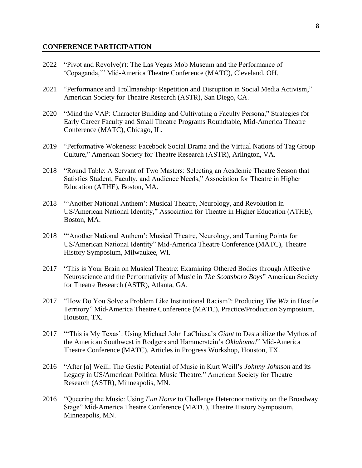#### **CONFERENCE PARTICIPATION**

- 2022 "Pivot and Revolve $(r)$ : The Las Vegas Mob Museum and the Performance of 'Copaganda,'" Mid-America Theatre Conference (MATC), Cleveland, OH.
- 2021 "Performance and Trollmanship: Repetition and Disruption in Social Media Activism," American Society for Theatre Research (ASTR), San Diego, CA.
- 2020 "Mind the VAP: Character Building and Cultivating a Faculty Persona," Strategies for Early Career Faculty and Small Theatre Programs Roundtable, Mid-America Theatre Conference (MATC), Chicago, IL.
- 2019 "Performative Wokeness: Facebook Social Drama and the Virtual Nations of Tag Group Culture," American Society for Theatre Research (ASTR), Arlington, VA.
- 2018 "Round Table: A Servant of Two Masters: Selecting an Academic Theatre Season that Satisfies Student, Faculty, and Audience Needs," Association for Theatre in Higher Education (ATHE), Boston, MA.
- 2018 "'Another National Anthem': Musical Theatre, Neurology, and Revolution in US/American National Identity," Association for Theatre in Higher Education (ATHE), Boston, MA.
- 2018 "'Another National Anthem': Musical Theatre, Neurology, and Turning Points for US/American National Identity" Mid-America Theatre Conference (MATC), Theatre History Symposium, Milwaukee, WI.
- 2017 "This is Your Brain on Musical Theatre: Examining Othered Bodies through Affective Neuroscience and the Performativity of Music in *The Scottsboro Boys*" American Society for Theatre Research (ASTR), Atlanta, GA.
- 2017 "How Do You Solve a Problem Like Institutional Racism?: Producing *The Wiz* in Hostile Territory" Mid-America Theatre Conference (MATC), Practice/Production Symposium, Houston, TX.
- 2017 "'This is My Texas': Using Michael John LaChiusa's *Giant* to Destabilize the Mythos of the American Southwest in Rodgers and Hammerstein's *Oklahoma!*" Mid-America Theatre Conference (MATC), Articles in Progress Workshop, Houston, TX.
- 2016 "After [a] Weill: The Gestic Potential of Music in Kurt Weill's *Johnny Johnson* and its Legacy in US/American Political Music Theatre." American Society for Theatre Research (ASTR), Minneapolis, MN.
- 2016 "Queering the Music: Using *Fun Home* to Challenge Heteronormativity on the Broadway Stage" Mid-America Theatre Conference (MATC), Theatre History Symposium, Minneapolis, MN.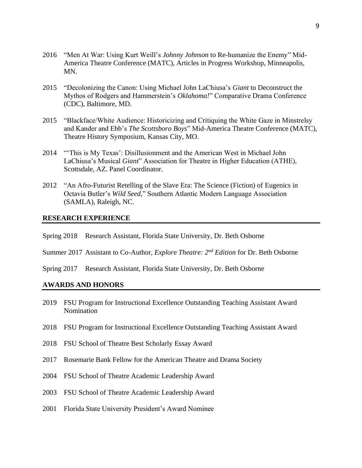- 2016 "Men At War: Using Kurt Weill's *Johnny Johnson* to Re-humanize the Enemy" Mid-America Theatre Conference (MATC), Articles in Progress Workshop, Minneapolis, MN.
- 2015 "Decolonizing the Canon: Using Michael John LaChiusa's *Giant* to Deconstruct the Mythos of Rodgers and Hammerstein's *Oklahoma!*" Comparative Drama Conference (CDC), Baltimore, MD.
- 2015 "Blackface/White Audience: Historicizing and Critiquing the White Gaze in Minstrelsy and Kander and Ebb's *The Scottsboro Boys*" Mid-America Theatre Conference (MATC), Theatre History Symposium, Kansas City, MO.
- 2014 "'This is My Texas': Disillusionment and the American West in Michael John LaChiusa's Musical *Giant*" Association for Theatre in Higher Education (ATHE), Scottsdale, AZ. Panel Coordinator.
- 2012 "An Afro-Futurist Retelling of the Slave Era: The Science (Fiction) of Eugenics in Octavia Butler's *Wild Seed*," Southern Atlantic Modern Language Association (SAMLA), Raleigh, NC.

#### **RESEARCH EXPERIENCE**

- Spring 2018 Research Assistant, Florida State University, Dr. Beth Osborne
- Summer 2017 Assistant to Co-Author, *Explore Theatre: 2nd Edition* for Dr. Beth Osborne
- Spring 2017 Research Assistant, Florida State University, Dr. Beth Osborne

#### **AWARDS AND HONORS**

- 2019 FSU Program for Instructional Excellence Outstanding Teaching Assistant Award Nomination
- 2018 FSU Program for Instructional Excellence Outstanding Teaching Assistant Award
- 2018 FSU School of Theatre Best Scholarly Essay Award
- 2017 Rosemarie Bank Fellow for the American Theatre and Drama Society
- 2004 FSU School of Theatre Academic Leadership Award
- 2003 FSU School of Theatre Academic Leadership Award
- 2001 Florida State University President's Award Nominee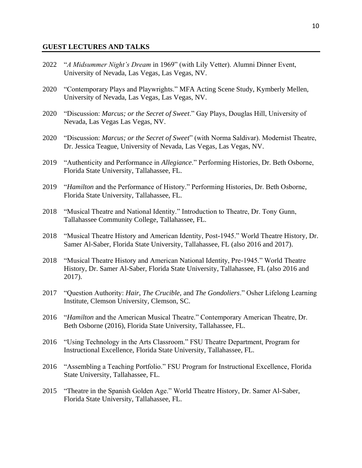#### **GUEST LECTURES AND TALKS**

- 2022 "*A Midsummer Night's Dream* in 1969" (with Lily Vetter). Alumni Dinner Event, University of Nevada, Las Vegas, Las Vegas, NV.
- 2020 "Contemporary Plays and Playwrights." MFA Acting Scene Study, Kymberly Mellen, University of Nevada, Las Vegas, Las Vegas, NV.
- 2020 "Discussion: *Marcus; or the Secret of Sweet*." Gay Plays, Douglas Hill, University of Nevada, Las Vegas Las Vegas, NV.
- 2020 "Discussion: *Marcus; or the Secret of Sweet*" (with Norma Saldivar). Modernist Theatre, Dr. Jessica Teague, University of Nevada, Las Vegas, Las Vegas, NV.
- 2019 "Authenticity and Performance in *Allegiance*." Performing Histories, Dr. Beth Osborne, Florida State University, Tallahassee, FL.
- 2019 "*Hamilton* and the Performance of History." Performing Histories, Dr. Beth Osborne, Florida State University, Tallahassee, FL.
- 2018 "Musical Theatre and National Identity." Introduction to Theatre, Dr. Tony Gunn, Tallahassee Community College, Tallahassee, FL.
- 2018 "Musical Theatre History and American Identity, Post-1945." World Theatre History, Dr. Samer Al-Saber, Florida State University, Tallahassee, FL (also 2016 and 2017).
- 2018 "Musical Theatre History and American National Identity, Pre-1945." World Theatre History, Dr. Samer Al-Saber, Florida State University, Tallahassee, FL (also 2016 and 2017).
- 2017 "Question Authority: *Hair*, *The Crucible*, and *The Gondoliers*." Osher Lifelong Learning Institute, Clemson University, Clemson, SC.
- 2016 "*Hamilton* and the American Musical Theatre." Contemporary American Theatre, Dr. Beth Osborne (2016), Florida State University, Tallahassee, FL.
- 2016 "Using Technology in the Arts Classroom." FSU Theatre Department, Program for Instructional Excellence, Florida State University, Tallahassee, FL.
- 2016 "Assembling a Teaching Portfolio." FSU Program for Instructional Excellence, Florida State University, Tallahassee, FL.
- 2015 "Theatre in the Spanish Golden Age." World Theatre History, Dr. Samer Al-Saber, Florida State University, Tallahassee, FL.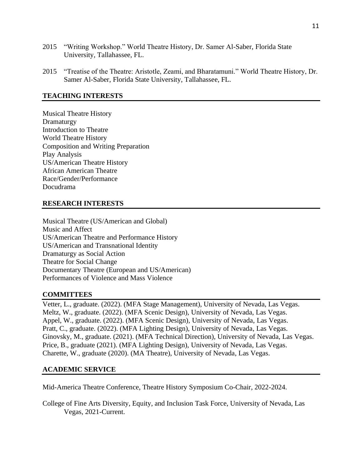- 2015 "Writing Workshop." World Theatre History, Dr. Samer Al-Saber, Florida State University, Tallahassee, FL.
- 2015 "Treatise of the Theatre: Aristotle, Zeami, and Bharatamuni." World Theatre History, Dr. Samer Al-Saber, Florida State University, Tallahassee, FL.

# **TEACHING INTERESTS**

Musical Theatre History Dramaturgy Introduction to Theatre World Theatre History Composition and Writing Preparation Play Analysis US/American Theatre History African American Theatre Race/Gender/Performance Docudrama

# **RESEARCH INTERESTS**

Musical Theatre (US/American and Global) Music and Affect US/American Theatre and Performance History US/American and Transnational Identity Dramaturgy as Social Action Theatre for Social Change Documentary Theatre (European and US/American) Performances of Violence and Mass Violence

# **COMMITTEES**

Vetter, L., graduate. (2022). (MFA Stage Management), University of Nevada, Las Vegas. Meltz, W., graduate. (2022). (MFA Scenic Design), University of Nevada, Las Vegas. Appel, W., graduate. (2022). (MFA Scenic Design), University of Nevada, Las Vegas. Pratt, C., graduate. (2022). (MFA Lighting Design), University of Nevada, Las Vegas. Ginovsky, M., graduate. (2021). (MFA Technical Direction), University of Nevada, Las Vegas. Price, B., graduate (2021). (MFA Lighting Design), University of Nevada, Las Vegas. Charette, W., graduate (2020). (MA Theatre), University of Nevada, Las Vegas.

# **ACADEMIC SERVICE**

Mid-America Theatre Conference, Theatre History Symposium Co-Chair, 2022-2024.

College of Fine Arts Diversity, Equity, and Inclusion Task Force, University of Nevada, Las Vegas, 2021-Current.